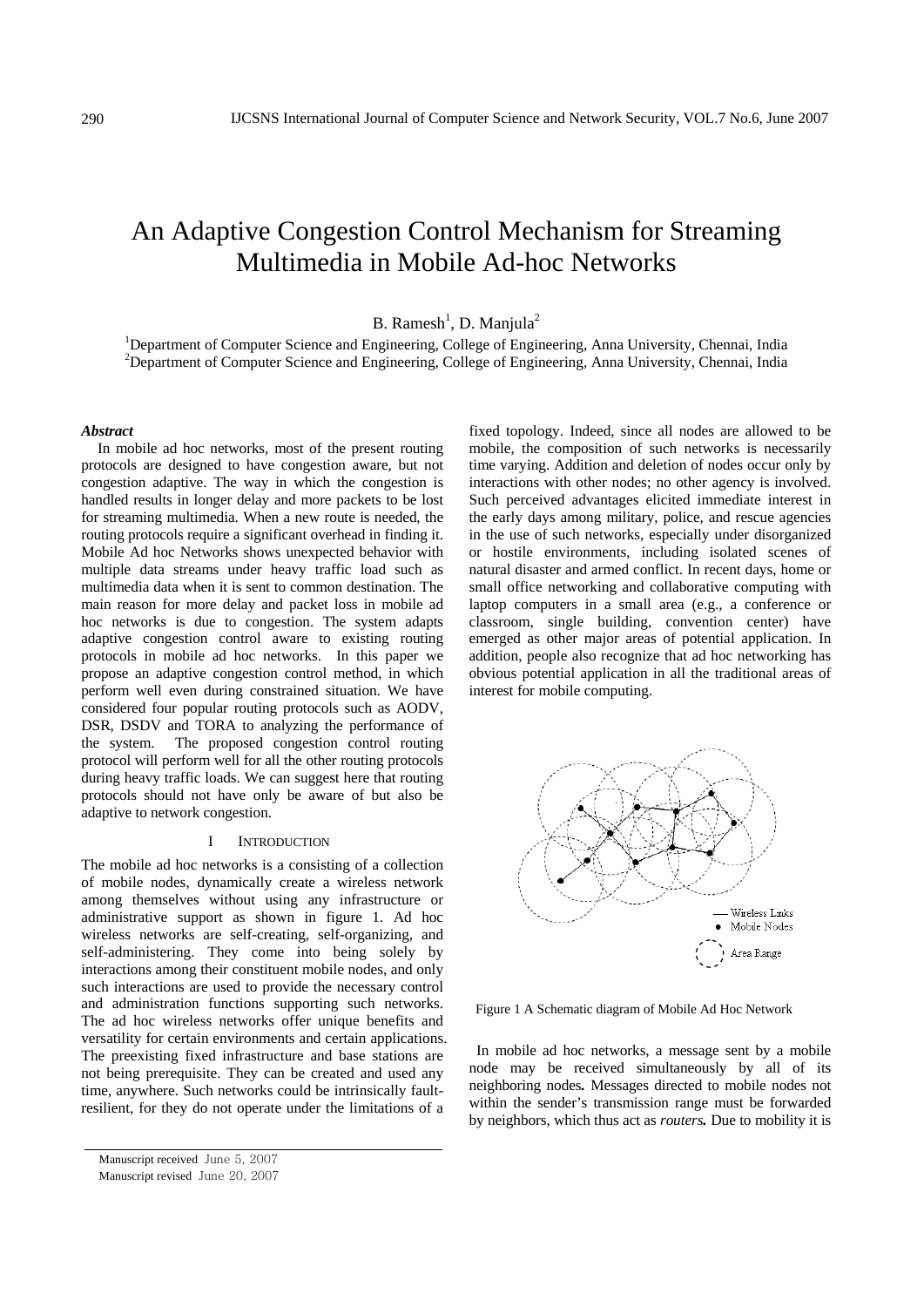# An Adaptive Congestion Control Mechanism for Streaming Multimedia in Mobile Ad-hoc Networks

## B. Ramesh<sup>1</sup>, D. Manjula<sup>2</sup>

<sup>1</sup>Department of Computer Science and Engineering, College of Engineering, Anna University, Chennai, India <sup>2</sup>Department of Computer Science and Engineering, College of Engineering, Anna University, Chennai, India

## *Abstract*

In mobile ad hoc networks, most of the present routing protocols are designed to have congestion aware, but not congestion adaptive. The way in which the congestion is handled results in longer delay and more packets to be lost for streaming multimedia. When a new route is needed, the routing protocols require a significant overhead in finding it. Mobile Ad hoc Networks shows unexpected behavior with multiple data streams under heavy traffic load such as multimedia data when it is sent to common destination. The main reason for more delay and packet loss in mobile ad hoc networks is due to congestion. The system adapts adaptive congestion control aware to existing routing protocols in mobile ad hoc networks. In this paper we propose an adaptive congestion control method, in which perform well even during constrained situation. We have considered four popular routing protocols such as AODV, DSR, DSDV and TORA to analyzing the performance of the system. The proposed congestion control routing protocol will perform well for all the other routing protocols during heavy traffic loads. We can suggest here that routing protocols should not have only be aware of but also be adaptive to network congestion.

## I INTRODUCTION

The mobile ad hoc networks is a consisting of a collection of mobile nodes, dynamically create a wireless network among themselves without using any infrastructure or administrative support as shown in figure 1. Ad hoc wireless networks are self-creating, self-organizing, and self-administering. They come into being solely by interactions among their constituent mobile nodes, and only such interactions are used to provide the necessary control and administration functions supporting such networks. The ad hoc wireless networks offer unique benefits and versatility for certain environments and certain applications. The preexisting fixed infrastructure and base stations are not being prerequisite. They can be created and used any time, anywhere. Such networks could be intrinsically faultresilient, for they do not operate under the limitations of a

fixed topology. Indeed, since all nodes are allowed to be mobile, the composition of such networks is necessarily time varying. Addition and deletion of nodes occur only by interactions with other nodes; no other agency is involved. Such perceived advantages elicited immediate interest in the early days among military, police, and rescue agencies in the use of such networks, especially under disorganized or hostile environments, including isolated scenes of natural disaster and armed conflict. In recent days, home or small office networking and collaborative computing with laptop computers in a small area (e.g., a conference or classroom, single building, convention center) have emerged as other major areas of potential application. In addition, people also recognize that ad hoc networking has obvious potential application in all the traditional areas of interest for mobile computing.



Figure 1 A Schematic diagram of Mobile Ad Hoc Network

In mobile ad hoc networks, a message sent by a mobile node may be received simultaneously by all of its neighboring nodes*.* Messages directed to mobile nodes not within the sender's transmission range must be forwarded by neighbors, which thus act as *routers.* Due to mobility it is

Manuscript received June 5, 2007 Manuscript revised June 20, 2007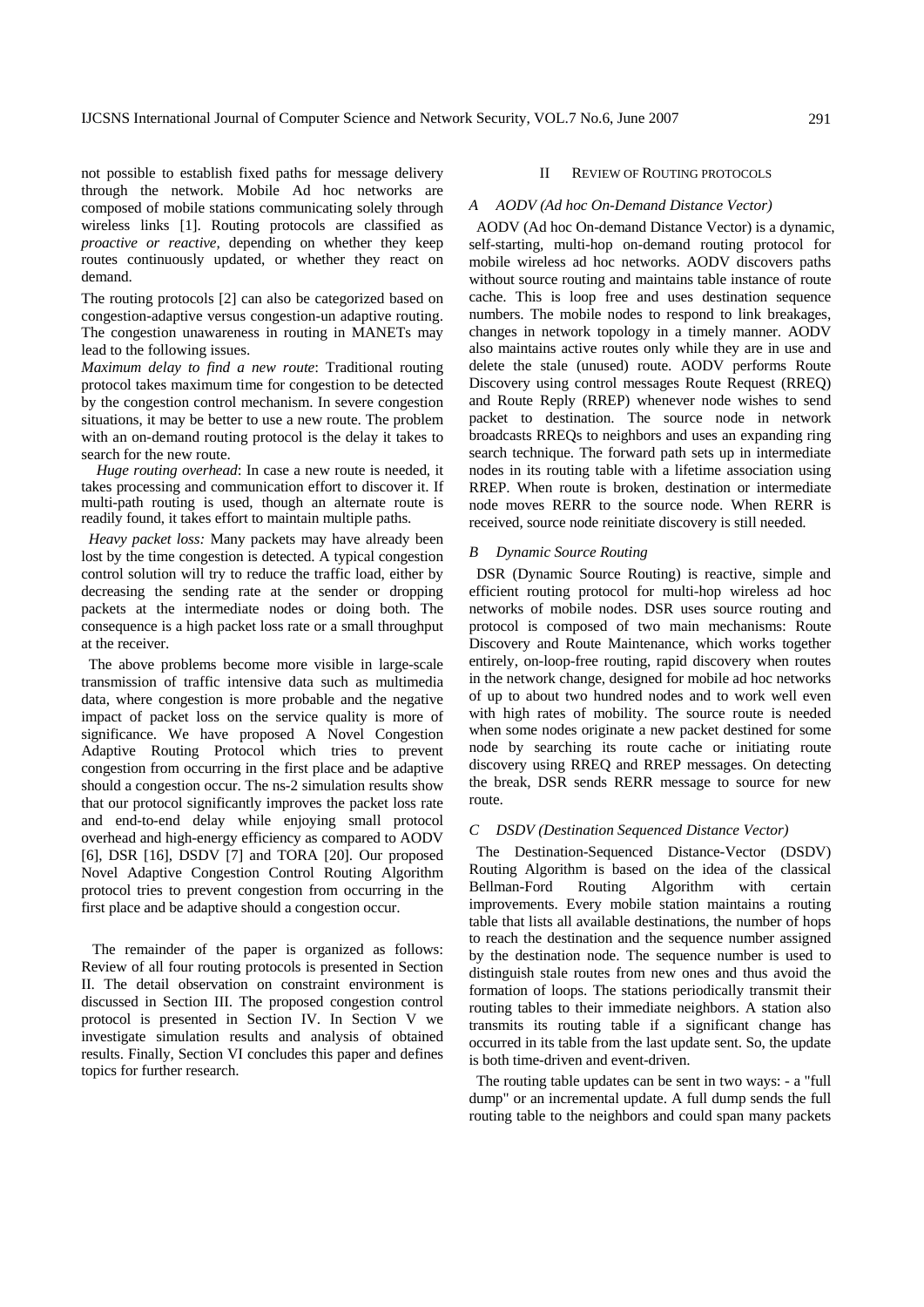not possible to establish fixed paths for message delivery through the network. Mobile Ad hoc networks are composed of mobile stations communicating solely through wireless links [1]. Routing protocols are classified as *proactive or reactive,* depending on whether they keep routes continuously updated, or whether they react on demand.

The routing protocols [2] can also be categorized based on congestion-adaptive versus congestion-un adaptive routing. The congestion unawareness in routing in MANETs may lead to the following issues.

*Maximum delay to find a new route*: Traditional routing protocol takes maximum time for congestion to be detected by the congestion control mechanism. In severe congestion situations, it may be better to use a new route. The problem with an on-demand routing protocol is the delay it takes to search for the new route.

*Huge routing overhead*: In case a new route is needed, it takes processing and communication effort to discover it. If multi-path routing is used, though an alternate route is readily found, it takes effort to maintain multiple paths.

*Heavy packet loss:* Many packets may have already been lost by the time congestion is detected. A typical congestion control solution will try to reduce the traffic load, either by decreasing the sending rate at the sender or dropping packets at the intermediate nodes or doing both. The consequence is a high packet loss rate or a small throughput at the receiver.

The above problems become more visible in large-scale transmission of traffic intensive data such as multimedia data, where congestion is more probable and the negative impact of packet loss on the service quality is more of significance. We have proposed A Novel Congestion Adaptive Routing Protocol which tries to prevent congestion from occurring in the first place and be adaptive should a congestion occur. The ns-2 simulation results show that our protocol significantly improves the packet loss rate and end-to-end delay while enjoying small protocol overhead and high-energy efficiency as compared to AODV [6], DSR [16], DSDV [7] and TORA [20]. Our proposed Novel Adaptive Congestion Control Routing Algorithm protocol tries to prevent congestion from occurring in the first place and be adaptive should a congestion occur.

 The remainder of the paper is organized as follows: Review of all four routing protocols is presented in Section II. The detail observation on constraint environment is discussed in Section III. The proposed congestion control protocol is presented in Section IV. In Section V we investigate simulation results and analysis of obtained results. Finally, Section VI concludes this paper and defines topics for further research.

#### II REVIEW OF ROUTING PROTOCOLS

#### *A AODV (Ad hoc On-Demand Distance Vector)*

AODV (Ad hoc On-demand Distance Vector) is a dynamic, self-starting, multi-hop on-demand routing protocol for mobile wireless ad hoc networks. AODV discovers paths without source routing and maintains table instance of route cache. This is loop free and uses destination sequence numbers. The mobile nodes to respond to link breakages, changes in network topology in a timely manner. AODV also maintains active routes only while they are in use and delete the stale (unused) route. AODV performs Route Discovery using control messages Route Request (RREQ) and Route Reply (RREP) whenever node wishes to send packet to destination. The source node in network broadcasts RREQs to neighbors and uses an expanding ring search technique. The forward path sets up in intermediate nodes in its routing table with a lifetime association using RREP. When route is broken, destination or intermediate node moves RERR to the source node. When RERR is received, source node reinitiate discovery is still needed.

### *B Dynamic Source Routing*

DSR (Dynamic Source Routing) is reactive, simple and efficient routing protocol for multi-hop wireless ad hoc networks of mobile nodes. DSR uses source routing and protocol is composed of two main mechanisms: Route Discovery and Route Maintenance, which works together entirely, on-loop-free routing, rapid discovery when routes in the network change, designed for mobile ad hoc networks of up to about two hundred nodes and to work well even with high rates of mobility. The source route is needed when some nodes originate a new packet destined for some node by searching its route cache or initiating route discovery using RREQ and RREP messages. On detecting the break, DSR sends RERR message to source for new route.

#### *C DSDV (Destination Sequenced Distance Vector)*

The Destination-Sequenced Distance-Vector (DSDV) Routing Algorithm is based on the idea of the classical Bellman-Ford Routing Algorithm with certain improvements. Every mobile station maintains a routing table that lists all available destinations, the number of hops to reach the destination and the sequence number assigned by the destination node. The sequence number is used to distinguish stale routes from new ones and thus avoid the formation of loops. The stations periodically transmit their routing tables to their immediate neighbors. A station also transmits its routing table if a significant change has occurred in its table from the last update sent. So, the update is both time-driven and event-driven.

The routing table updates can be sent in two ways: - a "full dump" or an incremental update. A full dump sends the full routing table to the neighbors and could span many packets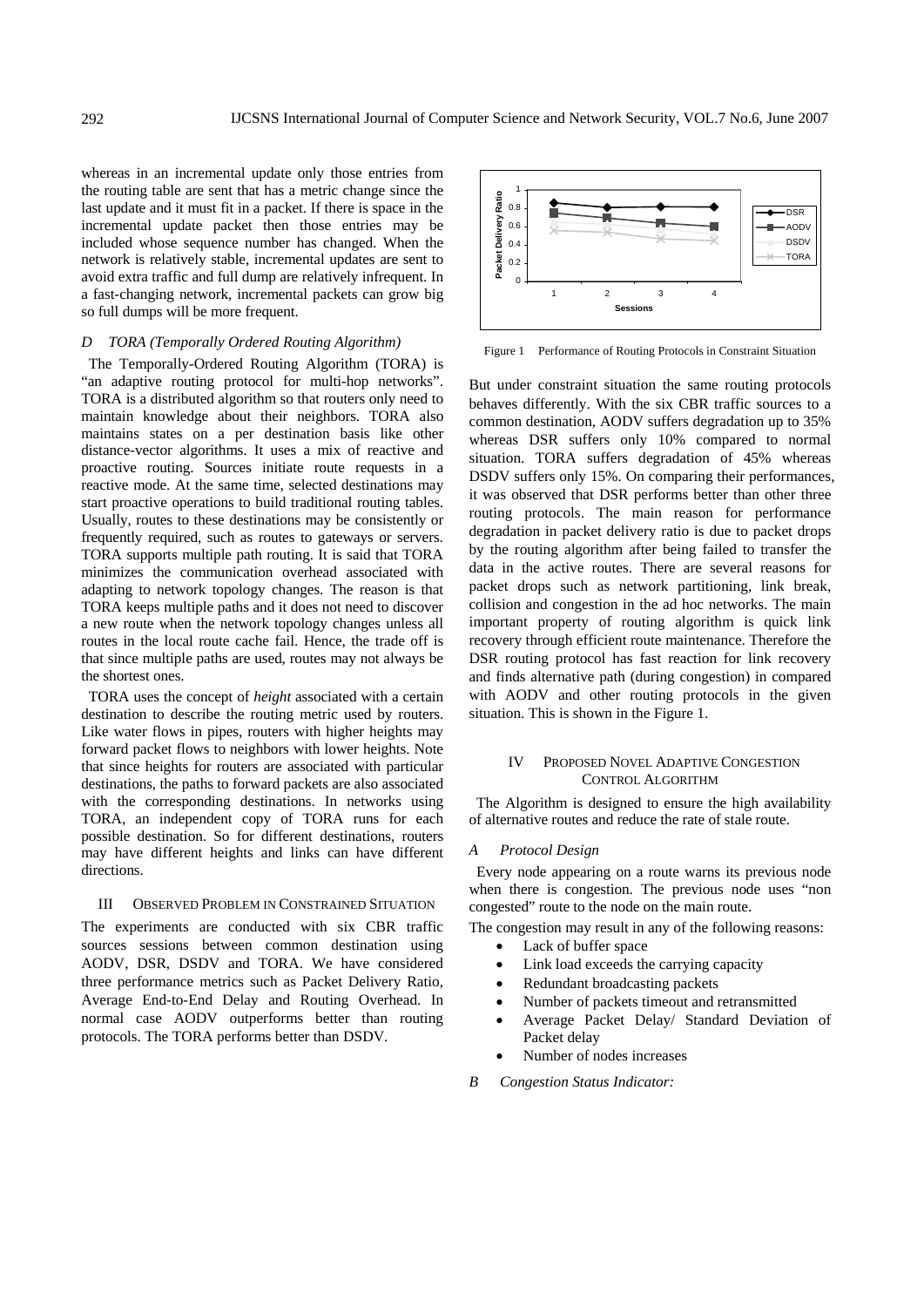whereas in an incremental update only those entries from the routing table are sent that has a metric change since the last update and it must fit in a packet. If there is space in the incremental update packet then those entries may be included whose sequence number has changed. When the network is relatively stable, incremental updates are sent to avoid extra traffic and full dump are relatively infrequent. In a fast-changing network, incremental packets can grow big so full dumps will be more frequent.

#### *D TORA (Temporally Ordered Routing Algorithm)*

The Temporally-Ordered Routing Algorithm (TORA) is "an adaptive routing protocol for multi-hop networks". TORA is a distributed algorithm so that routers only need to maintain knowledge about their neighbors. TORA also maintains states on a per destination basis like other distance-vector algorithms. It uses a mix of reactive and proactive routing. Sources initiate route requests in a reactive mode. At the same time, selected destinations may start proactive operations to build traditional routing tables. Usually, routes to these destinations may be consistently or frequently required, such as routes to gateways or servers. TORA supports multiple path routing. It is said that TORA minimizes the communication overhead associated with adapting to network topology changes. The reason is that TORA keeps multiple paths and it does not need to discover a new route when the network topology changes unless all routes in the local route cache fail. Hence, the trade off is that since multiple paths are used, routes may not always be the shortest ones.

TORA uses the concept of *height* associated with a certain destination to describe the routing metric used by routers. Like water flows in pipes, routers with higher heights may forward packet flows to neighbors with lower heights. Note that since heights for routers are associated with particular destinations, the paths to forward packets are also associated with the corresponding destinations. In networks using TORA, an independent copy of TORA runs for each possible destination. So for different destinations, routers may have different heights and links can have different directions.

#### III OBSERVED PROBLEM IN CONSTRAINED SITUATION

The experiments are conducted with six CBR traffic sources sessions between common destination using AODV, DSR, DSDV and TORA. We have considered three performance metrics such as Packet Delivery Ratio, Average End-to-End Delay and Routing Overhead. In normal case AODV outperforms better than routing protocols. The TORA performs better than DSDV.



Figure 1 Performance of Routing Protocols in Constraint Situation

But under constraint situation the same routing protocols behaves differently. With the six CBR traffic sources to a common destination, AODV suffers degradation up to 35% whereas DSR suffers only 10% compared to normal situation. TORA suffers degradation of 45% whereas DSDV suffers only 15%. On comparing their performances, it was observed that DSR performs better than other three routing protocols. The main reason for performance degradation in packet delivery ratio is due to packet drops by the routing algorithm after being failed to transfer the data in the active routes. There are several reasons for packet drops such as network partitioning, link break, collision and congestion in the ad hoc networks. The main important property of routing algorithm is quick link recovery through efficient route maintenance. Therefore the DSR routing protocol has fast reaction for link recovery and finds alternative path (during congestion) in compared with AODV and other routing protocols in the given situation. This is shown in the Figure 1.

## IV PROPOSED NOVEL ADAPTIVE CONGESTION CONTROL ALGORITHM

The Algorithm is designed to ensure the high availability of alternative routes and reduce the rate of stale route.

## *A Protocol Design*

Every node appearing on a route warns its previous node when there is congestion. The previous node uses "non congested" route to the node on the main route.

The congestion may result in any of the following reasons:

- Lack of buffer space
- Link load exceeds the carrying capacity
- Redundant broadcasting packets
- Number of packets timeout and retransmitted
- Average Packet Delay/ Standard Deviation of Packet delay
- Number of nodes increases
- *B Congestion Status Indicator:*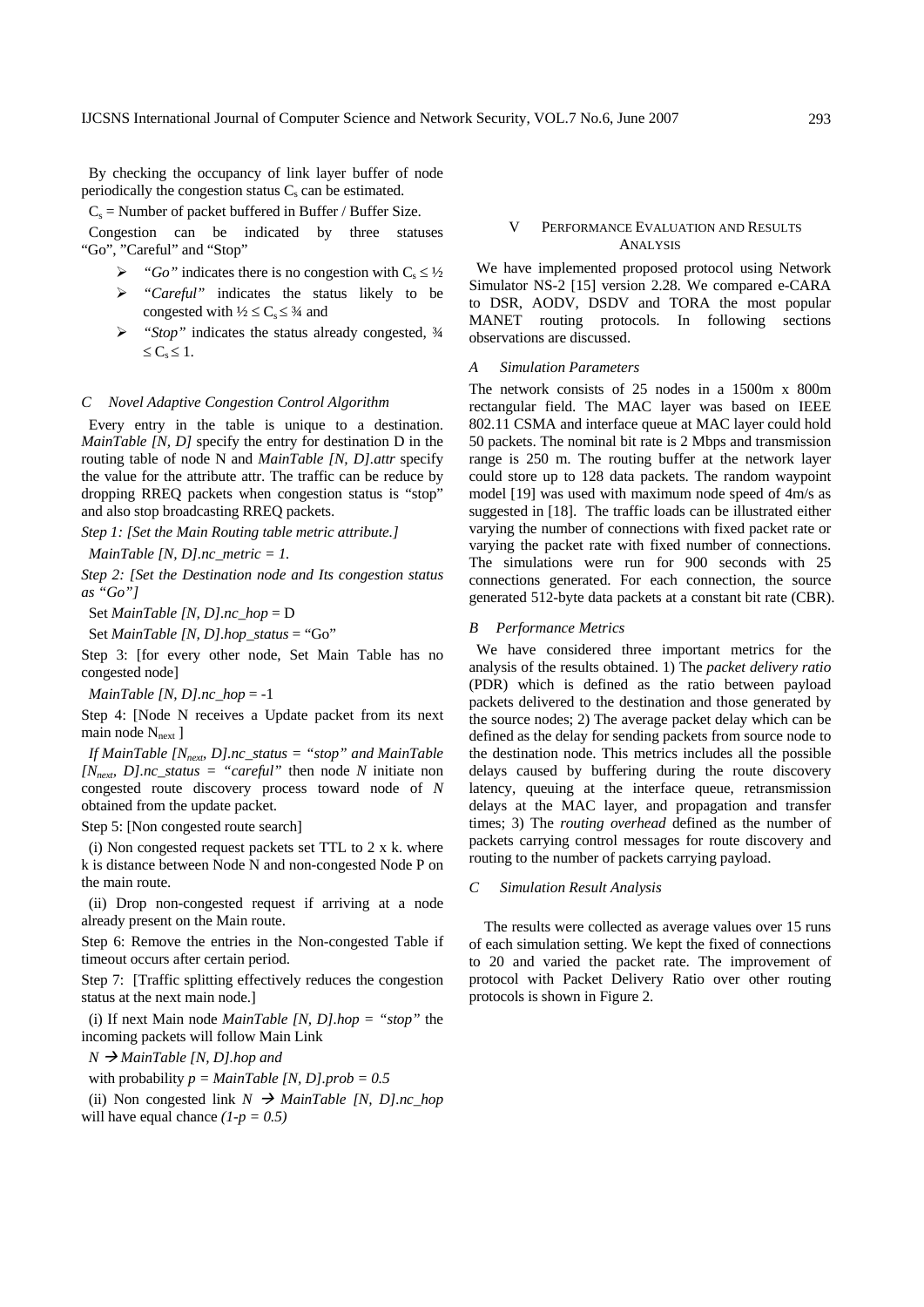By checking the occupancy of link layer buffer of node periodically the congestion status  $C_s$  can be estimated.

 $C_s$  = Number of packet buffered in Buffer / Buffer Size.

Congestion can be indicated by three statuses "Go", "Careful" and "Stop"

- $\triangleright$  *"Go"* indicates there is no congestion with  $C_s \leq \frac{1}{2}$
- ¾ *"Careful"* indicates the status likely to be congested with  $\frac{1}{2} \leq C_s \leq \frac{3}{4}$  and
- ¾ *"Stop"* indicates the status already congested, ¾  $\leq C_s \leq 1$ .

## *C Novel Adaptive Congestion Control Algorithm*

Every entry in the table is unique to a destination. *MainTable [N, D]* specify the entry for destination D in the routing table of node N and *MainTable [N, D].attr* specify the value for the attribute attr. The traffic can be reduce by dropping RREQ packets when congestion status is "stop" and also stop broadcasting RREQ packets.

*Step 1: [Set the Main Routing table metric attribute.]* 

*MainTable [N, D].nc\_metric = 1.* 

*Step 2: [Set the Destination node and Its congestion status as "Go"]* 

Set *MainTable [N, D].nc\_hop* = D

Set *MainTable [N, D].hop\_status* = "Go"

Step 3: [for every other node, Set Main Table has no congested node]

*MainTable [N, D].nc\_hop* = -1

Step 4: [Node N receives a Update packet from its next main node  $N_{\text{next}}$ ]

*If MainTable [Nnext, D].nc\_status = "stop" and MainTable*   $[N_{\text{next}}\ D].$ nc\_status = "careful" then node *N* initiate non congested route discovery process toward node of *N* obtained from the update packet.

Step 5: [Non congested route search]

(i) Non congested request packets set TTL to 2 x k. where k is distance between Node N and non-congested Node P on the main route.

(ii) Drop non-congested request if arriving at a node already present on the Main route.

Step 6: Remove the entries in the Non-congested Table if timeout occurs after certain period.

Step 7: [Traffic splitting effectively reduces the congestion status at the next main node.]

(i) If next Main node *MainTable [N, D].hop = "stop"* the incoming packets will follow Main Link

 $N \rightarrow$ *MainTable [N, D].hop and* 

with probability *p = MainTable [N, D].prob = 0.5* 

(ii) Non congested link  $N \rightarrow \text{MainTable}$  [N, D].nc\_hop will have equal chance  $(I-p = 0.5)$ 

## V PERFORMANCE EVALUATION AND RESULTS ANALYSIS

We have implemented proposed protocol using Network Simulator NS-2 [15] version 2.28. We compared e-CARA to DSR, AODV, DSDV and TORA the most popular MANET routing protocols. In following sections observations are discussed.

## *A Simulation Parameters*

The network consists of 25 nodes in a 1500m x 800m rectangular field. The MAC layer was based on IEEE 802.11 CSMA and interface queue at MAC layer could hold 50 packets. The nominal bit rate is 2 Mbps and transmission range is 250 m. The routing buffer at the network layer could store up to 128 data packets. The random waypoint model [19] was used with maximum node speed of 4m/s as suggested in [18]. The traffic loads can be illustrated either varying the number of connections with fixed packet rate or varying the packet rate with fixed number of connections. The simulations were run for 900 seconds with 25 connections generated. For each connection, the source generated 512-byte data packets at a constant bit rate (CBR).

### *B Performance Metrics*

We have considered three important metrics for the analysis of the results obtained. 1) The *packet delivery ratio* (PDR) which is defined as the ratio between payload packets delivered to the destination and those generated by the source nodes; 2) The average packet delay which can be defined as the delay for sending packets from source node to the destination node. This metrics includes all the possible delays caused by buffering during the route discovery latency, queuing at the interface queue, retransmission delays at the MAC layer, and propagation and transfer times; 3) The *routing overhead* defined as the number of packets carrying control messages for route discovery and routing to the number of packets carrying payload.

#### *C Simulation Result Analysis*

The results were collected as average values over 15 runs of each simulation setting. We kept the fixed of connections to 20 and varied the packet rate. The improvement of protocol with Packet Delivery Ratio over other routing protocols is shown in Figure 2.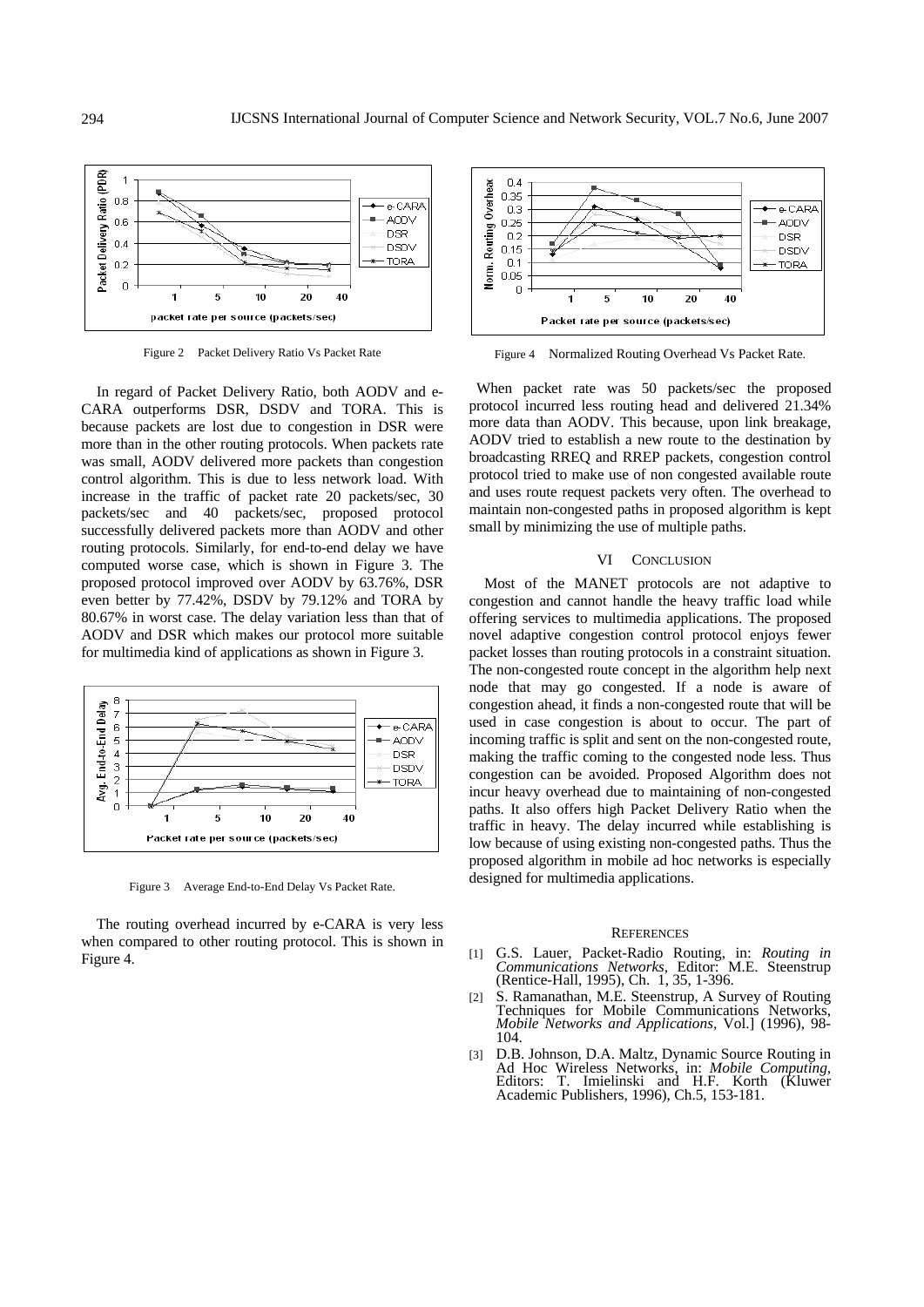

Figure 2 Packet Delivery Ratio Vs Packet Rate

In regard of Packet Delivery Ratio, both AODV and e-CARA outperforms DSR, DSDV and TORA. This is because packets are lost due to congestion in DSR were more than in the other routing protocols. When packets rate was small, AODV delivered more packets than congestion control algorithm. This is due to less network load. With increase in the traffic of packet rate 20 packets/sec, 30 packets/sec and 40 packets/sec, proposed protocol successfully delivered packets more than AODV and other routing protocols. Similarly, for end-to-end delay we have computed worse case, which is shown in Figure 3. The proposed protocol improved over AODV by 63.76%, DSR even better by 77.42%, DSDV by 79.12% and TORA by 80.67% in worst case. The delay variation less than that of AODV and DSR which makes our protocol more suitable for multimedia kind of applications as shown in Figure 3.



Figure 3 Average End-to-End Delay Vs Packet Rate.

The routing overhead incurred by e-CARA is very less when compared to other routing protocol. This is shown in Figure 4.



Figure 4 Normalized Routing Overhead Vs Packet Rate.

When packet rate was 50 packets/sec the proposed protocol incurred less routing head and delivered 21.34% more data than AODV. This because, upon link breakage, AODV tried to establish a new route to the destination by broadcasting RREQ and RREP packets, congestion control protocol tried to make use of non congested available route and uses route request packets very often. The overhead to maintain non-congested paths in proposed algorithm is kept small by minimizing the use of multiple paths.

## VI CONCLUSION

Most of the MANET protocols are not adaptive to congestion and cannot handle the heavy traffic load while offering services to multimedia applications. The proposed novel adaptive congestion control protocol enjoys fewer packet losses than routing protocols in a constraint situation. The non-congested route concept in the algorithm help next node that may go congested. If a node is aware of congestion ahead, it finds a non-congested route that will be used in case congestion is about to occur. The part of incoming traffic is split and sent on the non-congested route, making the traffic coming to the congested node less. Thus congestion can be avoided. Proposed Algorithm does not incur heavy overhead due to maintaining of non-congested paths. It also offers high Packet Delivery Ratio when the traffic in heavy. The delay incurred while establishing is low because of using existing non-congested paths. Thus the proposed algorithm in mobile ad hoc networks is especially designed for multimedia applications.

#### **REFERENCES**

- [1] G.S. Lauer, Packet-Radio Routing, in: *Routing in Communications Networks,* Editor: M.E. Steenstrup (Rentice-Hall, 1995), Ch. 1, 35, 1-396.
- [2] S. Ramanathan, M.E. Steenstrup, A Survey of Routing Techniques for Mobile Communications Networks, *Mobile Networks and Applications,* Vol.] (1996), 98- 104.
- [3] D.B. Johnson, D.A. Maltz, Dynamic Source Routing in Ad Hoc Wireless Networks, in: *Mobile Computing,* Editors: T. Imielinski and H.F. Korth (Kluwer Academic Publishers, 1996), Ch.5, 153-181.